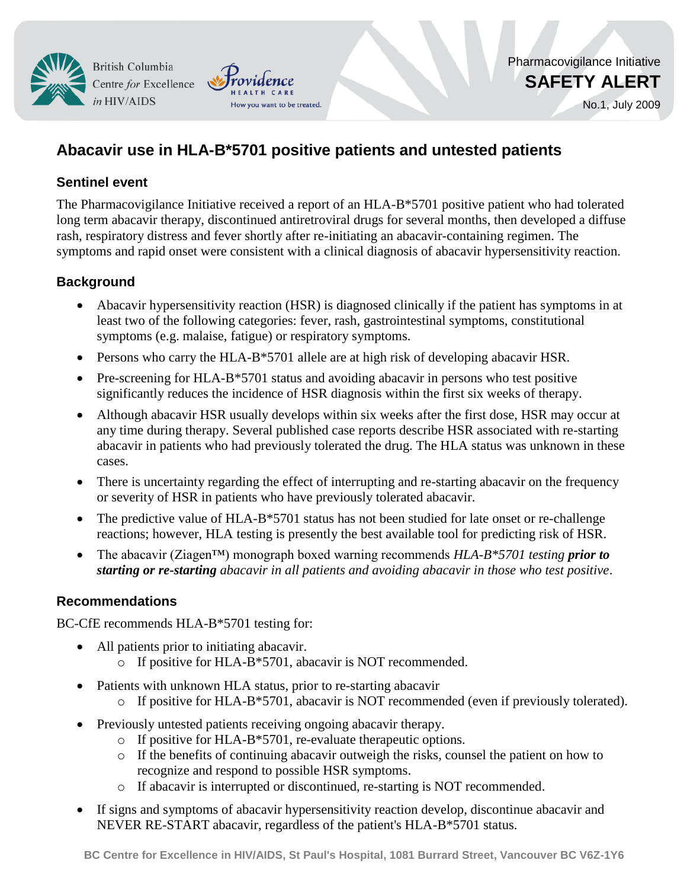**British Columbia** Centre for Excellence in HIV/AIDS

No.1, July 2009

# **Abacavir use in HLA-B\*5701 positive patients and untested patients**

How you want to be treated.

### **Sentinel event**

The Pharmacovigilance Initiative received a report of an HLA-B\*5701 positive patient who had tolerated long term abacavir therapy, discontinued antiretroviral drugs for several months, then developed a diffuse rash, respiratory distress and fever shortly after re-initiating an abacavir-containing regimen. The symptoms and rapid onset were consistent with a clinical diagnosis of abacavir hypersensitivity reaction.

# **Background**

- Abacavir hypersensitivity reaction (HSR) is diagnosed clinically if the patient has symptoms in at least two of the following categories: fever, rash, gastrointestinal symptoms, constitutional symptoms (e.g. malaise, fatigue) or respiratory symptoms.
- Persons who carry the HLA-B\*5701 allele are at high risk of developing abacavir HSR.
- Pre-screening for HLA-B\*5701 status and avoiding abacavir in persons who test positive significantly reduces the incidence of HSR diagnosis within the first six weeks of therapy.
- Although abacavir HSR usually develops within six weeks after the first dose, HSR may occur at any time during therapy. Several published case reports describe HSR associated with re-starting abacavir in patients who had previously tolerated the drug. The HLA status was unknown in these cases.
- There is uncertainty regarding the effect of interrupting and re-starting abacavir on the frequency or severity of HSR in patients who have previously tolerated abacavir.
- The predictive value of HLA-B\*5701 status has not been studied for late onset or re-challenge reactions; however, HLA testing is presently the best available tool for predicting risk of HSR.
- The abacavir (Ziagen™) monograph boxed warning recommends *HLA-B\*5701 testing prior to starting or re-starting abacavir in all patients and avoiding abacavir in those who test positive*.

## **Recommendations**

BC-CfE recommends HLA-B\*5701 testing for:

- All patients prior to initiating abacavir. o If positive for HLA-B\*5701, abacavir is NOT recommended.
- Patients with unknown HLA status, prior to re-starting abacavir
	- o If positive for HLA-B\*5701, abacavir is NOT recommended (even if previously tolerated).
- Previously untested patients receiving ongoing abacavir therapy.
	- o If positive for HLA-B\*5701, re-evaluate therapeutic options.
	- o If the benefits of continuing abacavir outweigh the risks, counsel the patient on how to recognize and respond to possible HSR symptoms.
	- o If abacavir is interrupted or discontinued, re-starting is NOT recommended.
- If signs and symptoms of abacavir hypersensitivity reaction develop, discontinue abacavir and NEVER RE-START abacavir, regardless of the patient's HLA-B\*5701 status.